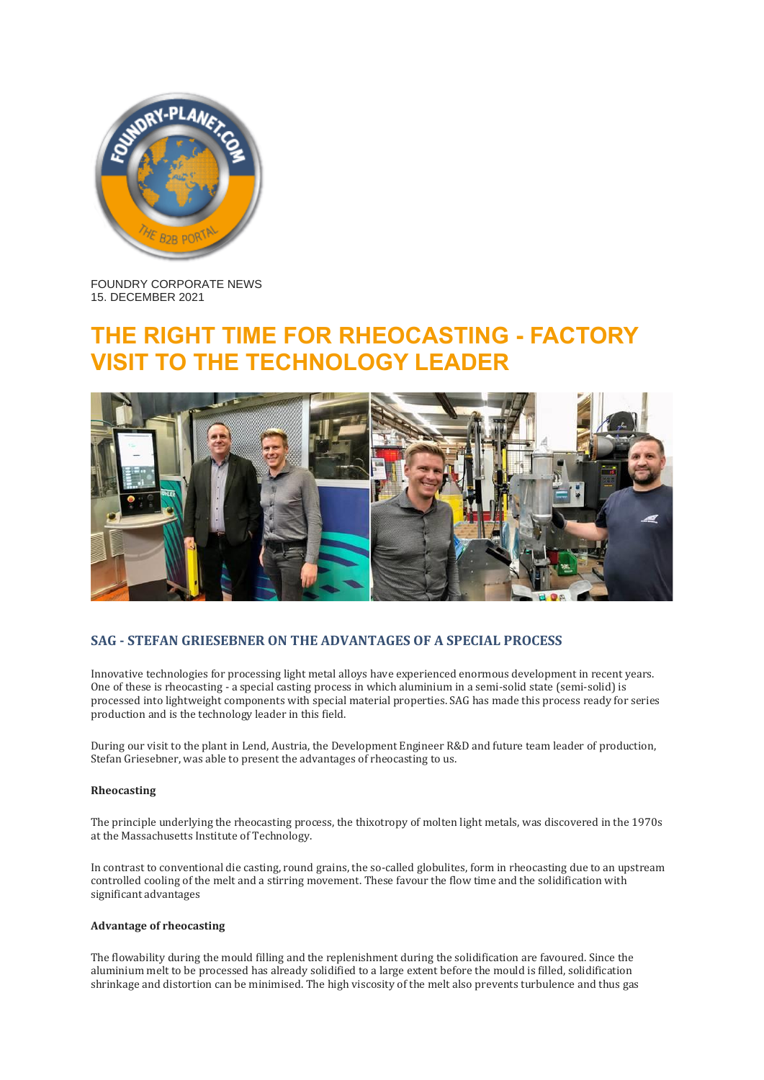

FOUNDRY CORPORATE NEWS 15. DECEMBER 2021

# **THE RIGHT TIME FOR RHEOCASTING - FACTORY TO THE TECHNOLOGY LEADER**



## **SAG - STEFAN GRIESEBNER ON THE ADVANTAGES OF A SPECIAL PROCESS**

Innovative technologies for processing light metal alloys have experienced enormous development in recent years. One of these is rheocasting - a special casting process in which aluminium in a semi-solid state (semi-solid) is processed into lightweight components with special material properties. SAG has made this process ready for series production and is the technology leader in this field.

During our visit to the plant in Lend, Austria, the Development Engineer R&D and future team leader of production, Stefan Griesebner, was able to present the advantages of rheocasting to us.

#### **Rheocasting**

The principle underlying the rheocasting process, the thixotropy of molten light metals, was discovered in the 1970s at the Massachusetts Institute of Technology.

In contrast to conventional die casting, round grains, the so-called globulites, form in rheocasting due to an upstream controlled cooling of the melt and a stirring movement. These favour the flow time and the solidification with significant advantages

### **Advantage of rheocasting**

The flowability during the mould filling and the replenishment during the solidification are favoured. Since the aluminium melt to be processed has already solidified to a large extent before the mould is filled, solidification shrinkage and distortion can be minimised. The high viscosity of the melt also prevents turbulence and thus gas